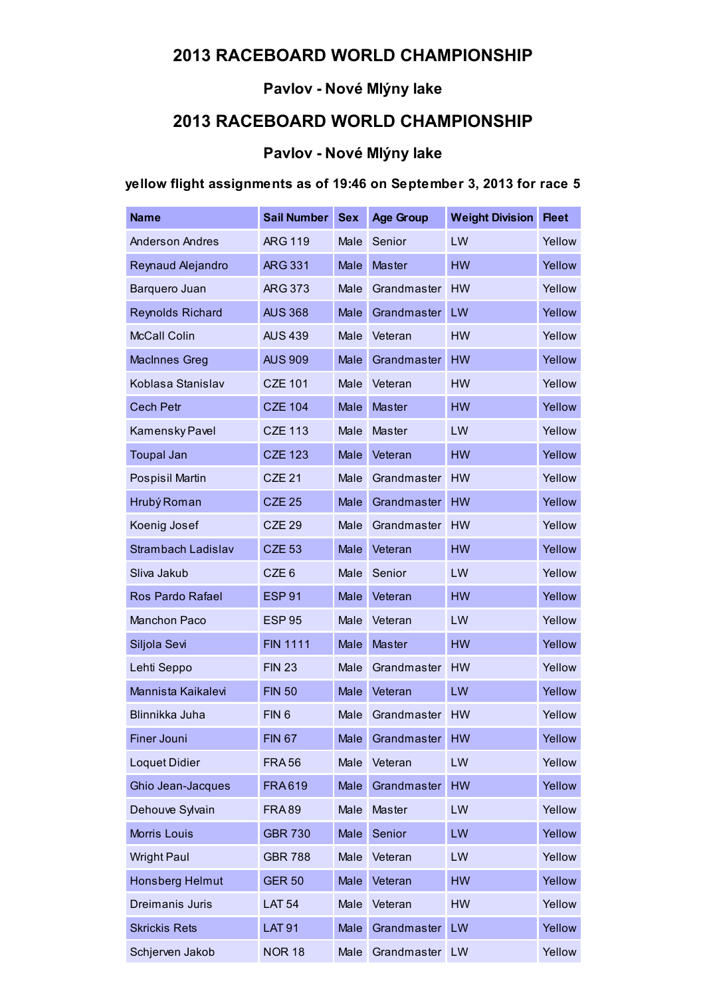## 2013 RACEBOARD WORLD CHAMPIONSHIP

#### Pavlov - Nové Mlýny lake

## 2013 RACEBOARD WORLD CHAMPIONSHIP

#### Pavlov - Nové Mlýny lake

#### yellow flight assignments as of 19:46 on September 3, 2013 for race 5

| <b>Name</b>             | <b>Sail Number</b> | <b>Sex</b> | <b>Age Group</b> | <b>Weight Division</b> | <b>Fleet</b> |
|-------------------------|--------------------|------------|------------------|------------------------|--------------|
| <b>Anderson Andres</b>  | <b>ARG 119</b>     | Male       | Senior           | LW                     | Yellow       |
| Reynaud Alejandro       | <b>ARG 331</b>     | Male       | <b>Master</b>    | <b>HW</b>              | Yellow       |
| Barquero Juan           | <b>ARG 373</b>     | Male       | Grandmaster      | <b>HW</b>              | Yellow       |
| <b>Reynolds Richard</b> | <b>AUS 368</b>     | Male       | Grandmaster      | LW                     | Yellow       |
| <b>McCall Colin</b>     | <b>AUS 439</b>     | Male       | Veteran          | <b>HW</b>              | Yellow       |
| <b>MacInnes Greg</b>    | <b>AUS 909</b>     | Male       | Grandmaster      | <b>HW</b>              | Yellow       |
| Koblasa Stanislav       | <b>CZE 101</b>     | Male       | Veteran          | <b>HW</b>              | Yellow       |
| <b>Cech Petr</b>        | <b>CZE 104</b>     | Male       | <b>Master</b>    | <b>HW</b>              | Yellow       |
| Kamensky Pavel          | <b>CZE 113</b>     | Male       | Master           | LW                     | Yellow       |
| <b>Toupal Jan</b>       | <b>CZE 123</b>     | Male       | Veteran          | <b>HW</b>              | Yellow       |
| Pospisil Martin         | <b>CZE 21</b>      | Male       | Grandmaster      | <b>HW</b>              | Yellow       |
| Hrubý Roman             | <b>CZE 25</b>      | Male       | Grandmaster      | <b>HW</b>              | Yellow       |
| Koenig Josef            | <b>CZE 29</b>      | Male       | Grandmaster      | <b>HW</b>              | Yellow       |
| Strambach Ladislav      | <b>CZE 53</b>      | Male       | Veteran          | HW                     | Yellow       |
| Sliva Jakub             | CZE <sub>6</sub>   | Male       | Senior           | LW                     | Yellow       |
| Ros Pardo Rafael        | <b>ESP 91</b>      | Male       | Veteran          | <b>HW</b>              | Yellow       |
| <b>Manchon Paco</b>     | <b>ESP 95</b>      | Male       | Veteran          | LW                     | Yellow       |
| Siljola Sevi            | <b>FIN 1111</b>    | Male       | <b>Master</b>    | <b>HW</b>              | Yellow       |
| Lehti Seppo             | <b>FIN 23</b>      | Male       | Grandmaster      | <b>HW</b>              | Yellow       |
| Mannista Kaikalevi      | <b>FIN 50</b>      | Male       | Veteran          | LW                     | Yellow       |
| Blinnikka Juha          | FIN <sub>6</sub>   | Male       | Grandmaster      | <b>HW</b>              | Yellow       |
| <b>Finer Jouni</b>      | <b>FIN 67</b>      | Male       | Grandmaster      | <b>HW</b>              | Yellow       |
| <b>Loquet Didier</b>    | <b>FRA56</b>       | Male       | Veteran          | LW                     | Yellow       |
| Ghio Jean-Jacques       | <b>FRA619</b>      | Male       | Grandmaster      | HW                     | Yellow       |
| Dehouve Sylvain         | <b>FRA89</b>       | Male       | Master           | LW                     | Yellow       |
| <b>Morris Louis</b>     | <b>GBR 730</b>     | Male       | Senior           | LW                     | Yellow       |
| <b>Wright Paul</b>      | <b>GBR 788</b>     | Male       | Veteran          | LW                     | Yellow       |
| <b>Honsberg Helmut</b>  | <b>GER 50</b>      | Male       | Veteran          | <b>HW</b>              | Yellow       |
| Dreimanis Juris         | <b>LAT 54</b>      | Male       | Veteran          | <b>HW</b>              | Yellow       |
| <b>Skrickis Rets</b>    | <b>LAT 91</b>      | Male       | Grandmaster      | LW                     | Yellow       |
| Schjerven Jakob         | <b>NOR 18</b>      | Male       | Grandmaster      | LW                     | Yellow       |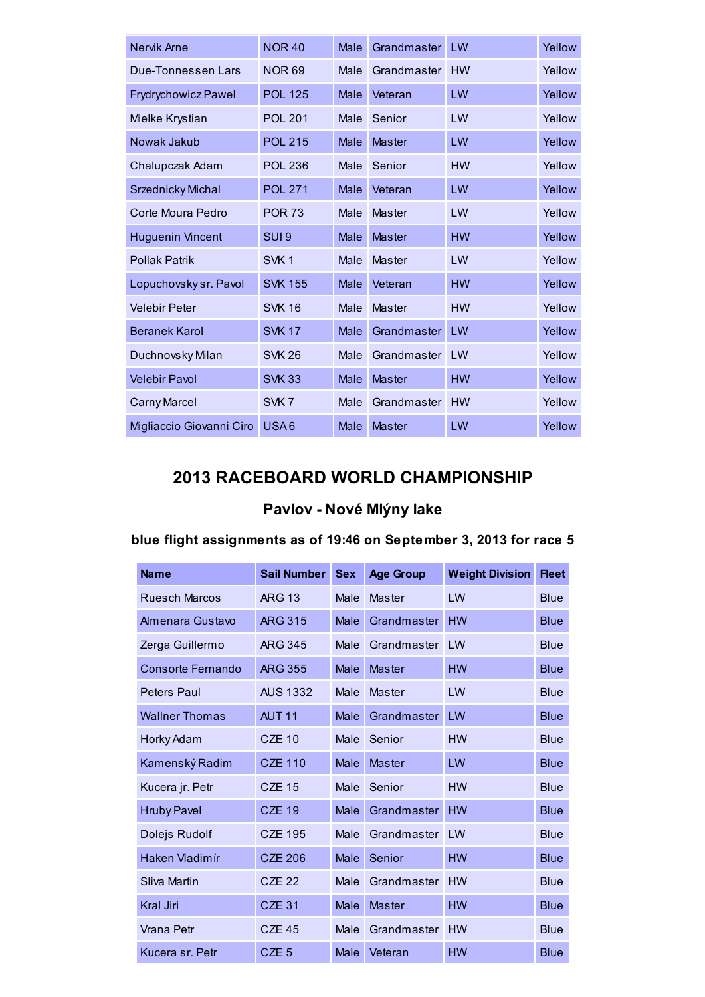| Nervik Arne                | <b>NOR 40</b>    | Male | Grandmaster   | LW        | Yellow |
|----------------------------|------------------|------|---------------|-----------|--------|
| Due-Tonnessen Lars         | <b>NOR 69</b>    | Male | Grandmaster   | <b>HW</b> | Yellow |
| <b>Frydrychowicz Pawel</b> | <b>POL 125</b>   | Male | Veteran       | LW        | Yellow |
| Mielke Krystian            | <b>POL 201</b>   | Male | Senior        | LW        | Yellow |
| Nowak Jakub                | <b>POL 215</b>   | Male | Master        | LW        | Yellow |
| Chalupczak Adam            | <b>POL 236</b>   | Male | Senior        | <b>HW</b> | Yellow |
| Srzednicky Michal          | <b>POL 271</b>   | Male | Veteran       | LW        | Yellow |
| Corte Moura Pedro          | <b>POR 73</b>    | Male | Master        | LW        | Yellow |
| <b>Huguenin Vincent</b>    | SUI <sub>9</sub> | Male | Master        | <b>HW</b> | Yellow |
| <b>Pollak Patrik</b>       | SVK <sub>1</sub> | Male | Master        | LW        | Yellow |
| Lopuchovsky sr. Pavol      | <b>SVK 155</b>   | Male | Veteran       | <b>HW</b> | Yellow |
| <b>Velebir Peter</b>       | <b>SVK 16</b>    | Male | Master        | <b>HW</b> | Yellow |
| <b>Beranek Karol</b>       | <b>SVK 17</b>    | Male | Grandmaster   | LW        | Yellow |
| Duchnovsky Milan           | <b>SVK 26</b>    | Male | Grandmaster   | LW        | Yellow |
| <b>Velebir Pavol</b>       | <b>SVK 33</b>    | Male | <b>Master</b> | <b>HW</b> | Yellow |
| Carny Marcel               | SVK7             | Male | Grandmaster   | <b>HW</b> | Yellow |
| Migliaccio Giovanni Ciro   | USA6             | Male | <b>Master</b> | LW        | Yellow |

## 2013 RACEBOARD WORLD CHAMPIONSHIP

# Pavlov - Nové Mlýny lake

## blue flight assignments as of 19:46 on September 3, 2013 for race 5

| <b>Name</b>             | <b>Sail Number</b> | <b>Sex</b>  | <b>Age Group</b> | <b>Weight Division</b> | <b>Fleet</b> |
|-------------------------|--------------------|-------------|------------------|------------------------|--------------|
| <b>Ruesch Marcos</b>    | <b>ARG 13</b>      | Male        | Master           | LW                     | <b>Blue</b>  |
| <b>Almenara Gustavo</b> | <b>ARG 315</b>     | Male        | Grandmaster      | <b>HW</b>              | <b>Blue</b>  |
| Zerga Guillermo         | <b>ARG 345</b>     | Male        | Grandmaster      | I W                    | <b>Blue</b>  |
| Consorte Fernando       | <b>ARG 355</b>     | Male        | <b>Master</b>    | <b>HW</b>              | <b>Blue</b>  |
| <b>Peters Paul</b>      | <b>AUS 1332</b>    | Male        | Master           | LW                     | <b>Blue</b>  |
| <b>Wallner Thomas</b>   | AUT <sub>11</sub>  | Male        | Grandmaster      | LW                     | <b>Blue</b>  |
| Horky Adam              | <b>CZE 10</b>      | Male        | Senior           | <b>HW</b>              | Blue         |
| Kamenský Radim          | <b>CZE 110</b>     | Male        | <b>Master</b>    | LW                     | <b>Blue</b>  |
| Kucera jr. Petr         | <b>CZE 15</b>      | Male        | Senior           | <b>HW</b>              | <b>Blue</b>  |
| <b>Hruby Pavel</b>      | <b>CZE 19</b>      | Male        | Grandmaster      | <b>HW</b>              | <b>Blue</b>  |
| Dolejs Rudolf           | <b>CZE 195</b>     | Male        | Grandmaster      | LW                     | <b>Blue</b>  |
| Haken Vladimír          | <b>CZE 206</b>     | <b>Male</b> | Senior           | <b>HW</b>              | <b>Blue</b>  |
| <b>Sliva Martin</b>     | CZE <sub>22</sub>  | Male        | Grandmaster      | <b>HW</b>              | <b>Blue</b>  |
| <b>Kral Jiri</b>        | <b>CZE 31</b>      | Male        | Master           | <b>HW</b>              | <b>Blue</b>  |
| Vrana Petr              | <b>CZE 45</b>      | Male        | Grandmaster      | <b>HW</b>              | <b>Blue</b>  |
| Kucera sr. Petr         | CZE <sub>5</sub>   | Male        | Veteran          | <b>HW</b>              | <b>Blue</b>  |